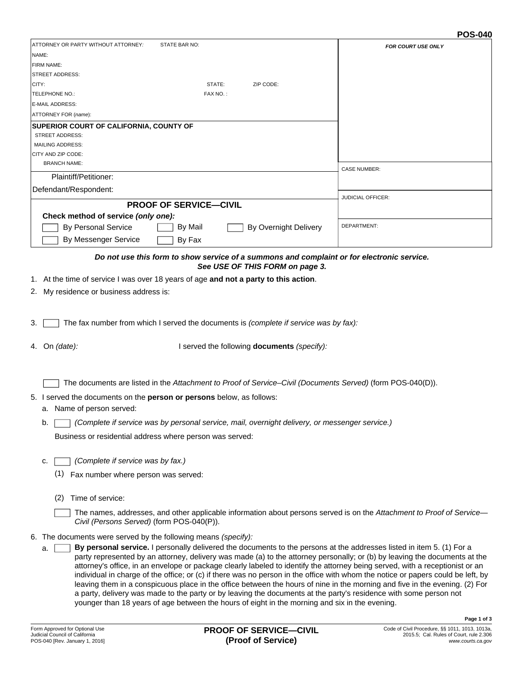#### **POS-040**

| ATTORNEY OR PARTY WITHOUT ATTORNEY:<br>STATE BAR NO:                                                                                                                                                                                                                                                                                                                                                                                                                                                                                                                                                                                                                                                                                                                                                                                                                                                                                                   | <b>FOR COURT USE ONLY</b> |  |
|--------------------------------------------------------------------------------------------------------------------------------------------------------------------------------------------------------------------------------------------------------------------------------------------------------------------------------------------------------------------------------------------------------------------------------------------------------------------------------------------------------------------------------------------------------------------------------------------------------------------------------------------------------------------------------------------------------------------------------------------------------------------------------------------------------------------------------------------------------------------------------------------------------------------------------------------------------|---------------------------|--|
| NAME:                                                                                                                                                                                                                                                                                                                                                                                                                                                                                                                                                                                                                                                                                                                                                                                                                                                                                                                                                  |                           |  |
| FIRM NAME:                                                                                                                                                                                                                                                                                                                                                                                                                                                                                                                                                                                                                                                                                                                                                                                                                                                                                                                                             |                           |  |
| <b>STREET ADDRESS:</b>                                                                                                                                                                                                                                                                                                                                                                                                                                                                                                                                                                                                                                                                                                                                                                                                                                                                                                                                 |                           |  |
| CITY:<br>STATE:<br>ZIP CODE:                                                                                                                                                                                                                                                                                                                                                                                                                                                                                                                                                                                                                                                                                                                                                                                                                                                                                                                           |                           |  |
| TELEPHONE NO.:<br>FAX NO.:                                                                                                                                                                                                                                                                                                                                                                                                                                                                                                                                                                                                                                                                                                                                                                                                                                                                                                                             |                           |  |
| E-MAIL ADDRESS:                                                                                                                                                                                                                                                                                                                                                                                                                                                                                                                                                                                                                                                                                                                                                                                                                                                                                                                                        |                           |  |
| ATTORNEY FOR (name):                                                                                                                                                                                                                                                                                                                                                                                                                                                                                                                                                                                                                                                                                                                                                                                                                                                                                                                                   |                           |  |
| SUPERIOR COURT OF CALIFORNIA, COUNTY OF                                                                                                                                                                                                                                                                                                                                                                                                                                                                                                                                                                                                                                                                                                                                                                                                                                                                                                                |                           |  |
| <b>STREET ADDRESS:</b>                                                                                                                                                                                                                                                                                                                                                                                                                                                                                                                                                                                                                                                                                                                                                                                                                                                                                                                                 |                           |  |
| <b>MAILING ADDRESS:</b>                                                                                                                                                                                                                                                                                                                                                                                                                                                                                                                                                                                                                                                                                                                                                                                                                                                                                                                                |                           |  |
| CITY AND ZIP CODE:<br><b>BRANCH NAME:</b>                                                                                                                                                                                                                                                                                                                                                                                                                                                                                                                                                                                                                                                                                                                                                                                                                                                                                                              |                           |  |
|                                                                                                                                                                                                                                                                                                                                                                                                                                                                                                                                                                                                                                                                                                                                                                                                                                                                                                                                                        | <b>CASE NUMBER:</b>       |  |
| Plaintiff/Petitioner:                                                                                                                                                                                                                                                                                                                                                                                                                                                                                                                                                                                                                                                                                                                                                                                                                                                                                                                                  |                           |  |
| Defendant/Respondent:                                                                                                                                                                                                                                                                                                                                                                                                                                                                                                                                                                                                                                                                                                                                                                                                                                                                                                                                  |                           |  |
| <b>PROOF OF SERVICE-CIVIL</b>                                                                                                                                                                                                                                                                                                                                                                                                                                                                                                                                                                                                                                                                                                                                                                                                                                                                                                                          | JUDICIAL OFFICER:         |  |
| Check method of service (only one):                                                                                                                                                                                                                                                                                                                                                                                                                                                                                                                                                                                                                                                                                                                                                                                                                                                                                                                    |                           |  |
|                                                                                                                                                                                                                                                                                                                                                                                                                                                                                                                                                                                                                                                                                                                                                                                                                                                                                                                                                        | DEPARTMENT:               |  |
| <b>By Personal Service</b><br>By Mail<br>By Overnight Delivery                                                                                                                                                                                                                                                                                                                                                                                                                                                                                                                                                                                                                                                                                                                                                                                                                                                                                         |                           |  |
| By Messenger Service<br>By Fax                                                                                                                                                                                                                                                                                                                                                                                                                                                                                                                                                                                                                                                                                                                                                                                                                                                                                                                         |                           |  |
| Do not use this form to show service of a summons and complaint or for electronic service.<br>See USE OF THIS FORM on page 3.                                                                                                                                                                                                                                                                                                                                                                                                                                                                                                                                                                                                                                                                                                                                                                                                                          |                           |  |
| 1. At the time of service I was over 18 years of age and not a party to this action.                                                                                                                                                                                                                                                                                                                                                                                                                                                                                                                                                                                                                                                                                                                                                                                                                                                                   |                           |  |
|                                                                                                                                                                                                                                                                                                                                                                                                                                                                                                                                                                                                                                                                                                                                                                                                                                                                                                                                                        |                           |  |
| 2. My residence or business address is:                                                                                                                                                                                                                                                                                                                                                                                                                                                                                                                                                                                                                                                                                                                                                                                                                                                                                                                |                           |  |
| The fax number from which I served the documents is (complete if service was by fax):<br>3.<br>4. On (date):<br>I served the following documents (specify):                                                                                                                                                                                                                                                                                                                                                                                                                                                                                                                                                                                                                                                                                                                                                                                            |                           |  |
|                                                                                                                                                                                                                                                                                                                                                                                                                                                                                                                                                                                                                                                                                                                                                                                                                                                                                                                                                        |                           |  |
| The documents are listed in the Attachment to Proof of Service-Civil (Documents Served) (form POS-040(D)).<br>5. I served the documents on the person or persons below, as follows:<br>a. Name of person served:                                                                                                                                                                                                                                                                                                                                                                                                                                                                                                                                                                                                                                                                                                                                       |                           |  |
| Complete if service was by personal service, mail, overnight delivery, or messenger service.)<br>b.                                                                                                                                                                                                                                                                                                                                                                                                                                                                                                                                                                                                                                                                                                                                                                                                                                                    |                           |  |
| Business or residential address where person was served:                                                                                                                                                                                                                                                                                                                                                                                                                                                                                                                                                                                                                                                                                                                                                                                                                                                                                               |                           |  |
| (Complete if service was by fax.)<br>c.<br>(1)<br>Fax number where person was served:                                                                                                                                                                                                                                                                                                                                                                                                                                                                                                                                                                                                                                                                                                                                                                                                                                                                  |                           |  |
| Time of service:<br>(2)                                                                                                                                                                                                                                                                                                                                                                                                                                                                                                                                                                                                                                                                                                                                                                                                                                                                                                                                |                           |  |
| The names, addresses, and other applicable information about persons served is on the Attachment to Proof of Service-<br>Civil (Persons Served) (form POS-040(P)).                                                                                                                                                                                                                                                                                                                                                                                                                                                                                                                                                                                                                                                                                                                                                                                     |                           |  |
| 6. The documents were served by the following means (specify):<br>By personal service. I personally delivered the documents to the persons at the addresses listed in item 5. (1) For a<br>a.<br>party represented by an attorney, delivery was made (a) to the attorney personally; or (b) by leaving the documents at the<br>attorney's office, in an envelope or package clearly labeled to identify the attorney being served, with a receptionist or an<br>individual in charge of the office; or (c) if there was no person in the office with whom the notice or papers could be left, by<br>leaving them in a conspicuous place in the office between the hours of nine in the morning and five in the evening. (2) For<br>a party, delivery was made to the party or by leaving the documents at the party's residence with some person not<br>younger than 18 years of age between the hours of eight in the morning and six in the evening. |                           |  |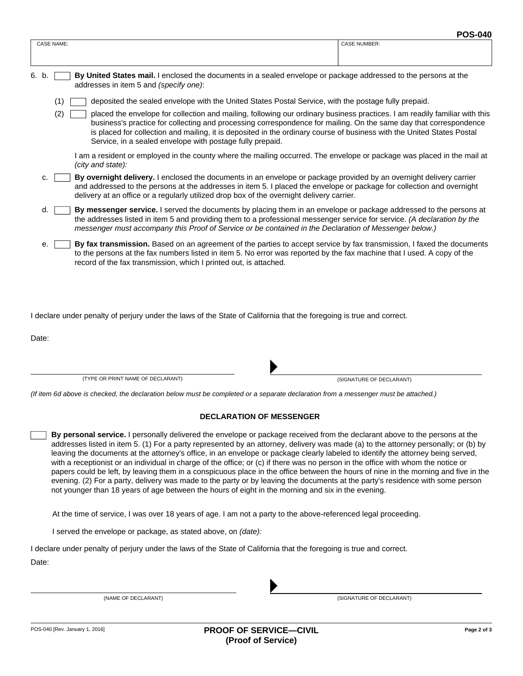|                   |                                                                                                                                                                                                                                                                                                                                                                                                                                                                                                                                                                                                                                                                                                                           | г оо-очо            |
|-------------------|---------------------------------------------------------------------------------------------------------------------------------------------------------------------------------------------------------------------------------------------------------------------------------------------------------------------------------------------------------------------------------------------------------------------------------------------------------------------------------------------------------------------------------------------------------------------------------------------------------------------------------------------------------------------------------------------------------------------------|---------------------|
| <b>CASE NAME:</b> |                                                                                                                                                                                                                                                                                                                                                                                                                                                                                                                                                                                                                                                                                                                           | <b>CASE NUMBER:</b> |
|                   |                                                                                                                                                                                                                                                                                                                                                                                                                                                                                                                                                                                                                                                                                                                           |                     |
| 6. b.             | By United States mail. I enclosed the documents in a sealed envelope or package addressed to the persons at the<br>addresses in item 5 and (specify one):<br>deposited the sealed envelope with the United States Postal Service, with the postage fully prepaid.<br>(1)<br>placed the envelope for collection and mailing, following our ordinary business practices. I am readily familiar with this<br>(2)<br>business's practice for collecting and processing correspondence for mailing. On the same day that correspondence<br>is placed for collection and mailing, it is deposited in the ordinary course of business with the United States Postal<br>Service, in a sealed envelope with postage fully prepaid. |                     |
|                   |                                                                                                                                                                                                                                                                                                                                                                                                                                                                                                                                                                                                                                                                                                                           |                     |
|                   |                                                                                                                                                                                                                                                                                                                                                                                                                                                                                                                                                                                                                                                                                                                           |                     |
|                   | I am a resident or employed in the county where the mailing occurred. The envelope or package was placed in the mail at<br>(city and state):                                                                                                                                                                                                                                                                                                                                                                                                                                                                                                                                                                              |                     |
| C.                | By overnight delivery. I enclosed the documents in an envelope or package provided by an overnight delivery carrier<br>and addressed to the persons at the addresses in item 5. I placed the envelope or package for collection and overnight<br>delivery at an office or a regularly utilized drop box of the overnight delivery carrier.                                                                                                                                                                                                                                                                                                                                                                                |                     |
|                   | By messenger service. I served the documents by placing them in an envelope or package addressed to the persons at<br>d.<br>the addresses listed in item 5 and providing them to a professional messenger service for service. (A declaration by the<br>messenger must accompany this Proof of Service or be contained in the Declaration of Messenger below.)                                                                                                                                                                                                                                                                                                                                                            |                     |
|                   | By fax transmission. Based on an agreement of the parties to accept service by fax transmission, I faxed the documents<br>е.<br>to the persons at the fax numbers listed in item 5. No error was reported by the fax machine that I used. A copy of the<br>record of the fax transmission, which I printed out, is attached.                                                                                                                                                                                                                                                                                                                                                                                              |                     |

I declare under penalty of perjury under the laws of the State of California that the foregoing is true and correct.

Date:

(TYPE OR PRINT NAME OF DECLARANT)



(SIGNATURE OF DECLARANT)

*(If item 6d above is checked, the declaration below must be completed or a separate declaration from a messenger must be attached.)*

#### **DECLARATION OF MESSENGER**

**By personal service.** I personally delivered the envelope or package received from the declarant above to the persons at the addresses listed in item 5. (1) For a party represented by an attorney, delivery was made (a) to the attorney personally; or (b) by leaving the documents at the attorney's office, in an envelope or package clearly labeled to identify the attorney being served, with a receptionist or an individual in charge of the office; or (c) if there was no person in the office with whom the notice or papers could be left, by leaving them in a conspicuous place in the office between the hours of nine in the morning and five in the evening. (2) For a party, delivery was made to the party or by leaving the documents at the party's residence with some person not younger than 18 years of age between the hours of eight in the morning and six in the evening.

At the time of service, I was over 18 years of age. I am not a party to the above-referenced legal proceeding.

I served the envelope or package, as stated above, on *(date):*

I declare under penalty of perjury under the laws of the State of California that the foregoing is true and correct.

Date:

(NAME OF DECLARANT)

(SIGNATURE OF DECLARANT)